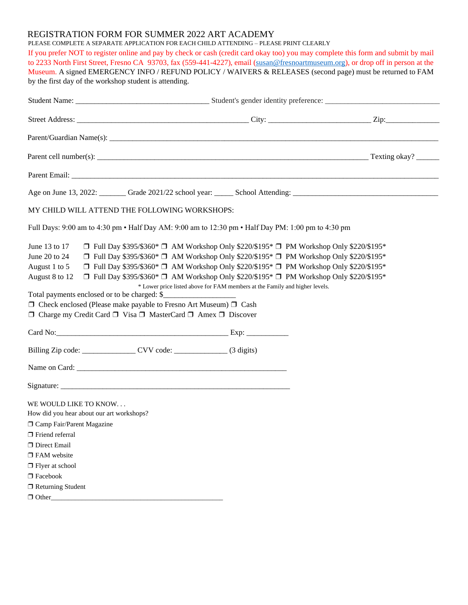## REGISTRATION FORM FOR SUMMER 2022 ART ACADEMY

PLEASE COMPLETE A SEPARATE APPLICATION FOR EACH CHILD ATTENDING – PLEASE PRINT CLEARLY

If you prefer NOT to register online and pay by check or cash (credit card okay too) you may complete this form and submit by mail to 2233 North First Street, Fresno CA 93703, fax (559-441-4227), email [\(susan@fresnoartmuseum.org\)](mailto:susan@fresnoartmuseum.org), or drop off in person at the Museum. A signed EMERGENCY INFO / REFUND POLICY / WAIVERS & RELEASES (second page) must be returned to FAM by the first day of the workshop student is attending.

| MY CHILD WILL ATTEND THE FOLLOWING WORKSHOPS:                                                                                                                                                                                                                                                                                                                                                                                                                                                                                                                                                             |                                                                             |  |
|-----------------------------------------------------------------------------------------------------------------------------------------------------------------------------------------------------------------------------------------------------------------------------------------------------------------------------------------------------------------------------------------------------------------------------------------------------------------------------------------------------------------------------------------------------------------------------------------------------------|-----------------------------------------------------------------------------|--|
| Full Days: 9:00 am to 4:30 pm • Half Day AM: 9:00 am to 12:30 pm • Half Day PM: 1:00 pm to 4:30 pm                                                                                                                                                                                                                                                                                                                                                                                                                                                                                                        |                                                                             |  |
| June 20 to 24<br>$\Box$ Full Day \$395/\$360* $\Box$ AM Workshop Only \$220/\$195* $\Box$ PM Workshop Only \$220/\$195*<br>$\Box$ Full Day \$395/\$360* $\Box$ AM Workshop Only \$220/\$195* $\Box$ PM Workshop Only \$220/\$195*<br>August 1 to 5<br>$\Box$ Full Day \$395/\$360* $\Box$ AM Workshop Only \$220/\$195* $\Box$ PM Workshop Only \$220/\$195*<br>August 8 to 12<br>Total payments enclosed or to be charged: \$_<br>$\Box$ Check enclosed (Please make payable to Fresno Art Museum) $\Box$ Cash<br>$\Box$ Charge my Credit Card $\Box$ Visa $\Box$ MasterCard $\Box$ Amex $\Box$ Discover | * Lower price listed above for FAM members at the Family and higher levels. |  |
| Card No: Exp:                                                                                                                                                                                                                                                                                                                                                                                                                                                                                                                                                                                             |                                                                             |  |
|                                                                                                                                                                                                                                                                                                                                                                                                                                                                                                                                                                                                           |                                                                             |  |
|                                                                                                                                                                                                                                                                                                                                                                                                                                                                                                                                                                                                           |                                                                             |  |
|                                                                                                                                                                                                                                                                                                                                                                                                                                                                                                                                                                                                           |                                                                             |  |
| WE WOULD LIKE TO KNOW<br>How did you hear about our art workshops?<br>□ Camp Fair/Parent Magazine<br>$\Box$ Friend referral<br>Direct Email<br>$\Box$ FAM website<br>$\Box$ Flyer at school<br>$\Box$ Facebook<br>$\Box$ Returning Student                                                                                                                                                                                                                                                                                                                                                                |                                                                             |  |
| $\Box$ Other                                                                                                                                                                                                                                                                                                                                                                                                                                                                                                                                                                                              |                                                                             |  |